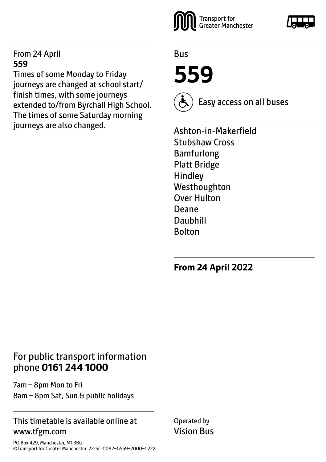#### From 24 April **559**

Times of some Monday to Friday journeys are changed at school start/ finish times, with some journeys extended to/from Byrchall High School. The times of some Saturday morning journeys are also changed.



Bus

**559**



Easy access on all buses

Ashton-in-Makerfield Stubshaw Cross Bamfurlong Platt Bridge Hindley Westhoughton Over Hulton Deane Daubhill Bolton

**From 24 April 2022**

## For public transport information phone **0161 244 1000**

7am – 8pm Mon to Fri 8am – 8pm Sat, Sun & public holidays

#### This timetable is available online at www.tfgm.com

PO Box 429, Manchester, M1 3BG ©Transport for Greater Manchester 22-SC-0092–G559–2000–0222 Operated by Vision Bus

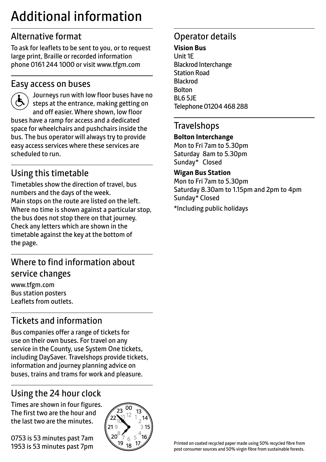# Additional information

# Alternative format

To ask for leaflets to be sent to you, or to request large print, Braille or recorded information phone 0161 244 1000 or visit www.tfgm.com

#### Easy access on buses



 Journeys run with low floor buses have no steps at the entrance, making getting on and off easier. Where shown, low floor buses have a ramp for access and a dedicated space for wheelchairs and pushchairs inside the bus. The bus operator will always try to provide easy access services where these services are scheduled to run.

# Using this timetable

Timetables show the direction of travel, bus numbers and the days of the week. Main stops on the route are listed on the left. Where no time is shown against a particular stop, the bus does not stop there on that journey. Check any letters which are shown in the timetable against the key at the bottom of the page.

# Where to find information about service changes

www.tfgm.com Bus station posters Leaflets from outlets.

# Tickets and information

Bus companies offer a range of tickets for use on their own buses. For travel on any service in the County, use System One tickets, including DaySaver. Travelshops provide tickets, information and journey planning advice on buses, trains and trams for work and pleasure.

# Using the 24 hour clock

Times are shown in four figures. The first two are the hour and the last two are the minutes.

0753 is 53 minutes past 7am 1953 is 53 minutes past 7pm



# Operator details

#### **Vision Bus**

Unit 1E Blackrod Interchange Station Road Blackrod Bolton BL6 5JE Telephone 01204 468 288

#### **Travelshops**

#### **Bolton Interchange**

Mon to Fri 7am to 5.30pm Saturday 8am to 5.30pm Sunday\* Closed

#### **Wigan Bus Station**

Mon to Fri 7am to 5.30pm Saturday 8.30am to 1.15pm and 2pm to 4pm Sunday\* Closed

\*Including public holidays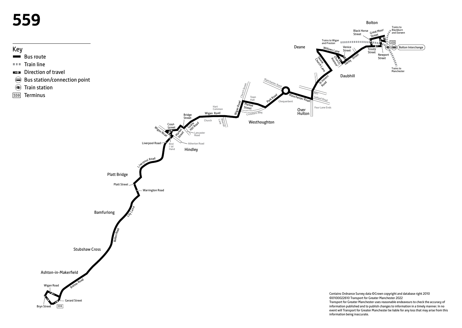# **559**



Bolton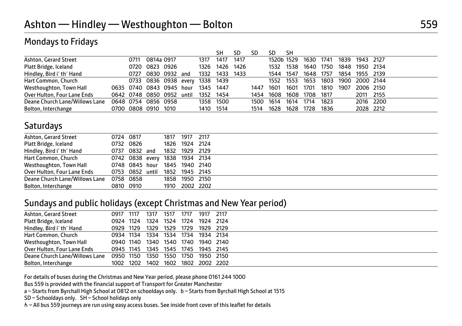#### Mondays to Fridays

|                                |      |                          |       |           | SH        | <b>SD</b> | SD   | SD         | -SH  |           |           |      |                |  |
|--------------------------------|------|--------------------------|-------|-----------|-----------|-----------|------|------------|------|-----------|-----------|------|----------------|--|
| Ashton, Gerard Street          | 0711 | 0814a 0917               |       | 1317      | 1417      | 1417      |      | 1520b 1529 |      | 1630      | 1741      | 1839 | 1943 2127      |  |
| Platt Bridge, Iceland          |      | 0720 0823 0926           |       | 1326      | 1426      | 1426      |      | 1532       | 1538 |           | 1640 1750 | 1848 | 1950 2134      |  |
| Hindley, Bird i' th' Hand      |      | 0727 0830 0932 and       |       | 1332      | 1433 1433 |           |      | 1544 1547  |      | 1648 1757 |           |      | 1854 1955 2139 |  |
| Hart Common, Church            |      | 0733 0836 0938 every     |       | 1338 1439 |           |           |      | 1552 1553  |      | 1653      | 1803      |      | 1900 2000 2144 |  |
| Westhoughton, Town Hall        |      | 0635 0740 0843 0945 hour |       | 1345      | 1447      |           | 1447 | 1601       | 1601 | 1701      | 1810      | 1907 | 2006 2150      |  |
| Over Hulton, Four Lane Ends    |      | 0642 0748 0850 0952      | until | 1352      | 1454      |           | 1454 | 1608       | 1608 | 1708      | 1817      |      | 2011 2155      |  |
| Deane Church Lane/Willows Lane |      | 0648 0754 0856 0958      |       | 1358      | 1500      |           | 1500 | 1614       | 1614 | 1714      | 1823      |      | 2016 2200      |  |
| Bolton, Interchange            |      | 0700 0808 0910 1010      |       | 1410      | 1514      |           | 1514 | 1628       | 1628 | 1728      | 1836      |      | 2028 2212      |  |

#### **Saturdays**

| 0724 0817<br>0732 0826<br>0737 0832 and | 1832 | 1817 1917 2117<br>1826 1924 2124 |           |                                                                                                                                  |
|-----------------------------------------|------|----------------------------------|-----------|----------------------------------------------------------------------------------------------------------------------------------|
|                                         |      |                                  |           |                                                                                                                                  |
|                                         |      |                                  |           |                                                                                                                                  |
|                                         |      |                                  | 1929 2129 |                                                                                                                                  |
|                                         |      |                                  |           |                                                                                                                                  |
|                                         |      |                                  |           |                                                                                                                                  |
|                                         |      |                                  |           |                                                                                                                                  |
| 0758 0858                               |      |                                  |           |                                                                                                                                  |
| 0810 0910                               |      |                                  |           |                                                                                                                                  |
|                                         |      |                                  | 1858      | 0742 0838 every 1838 1934 2134<br>0748 0845 hour 1845 1940 2140<br>0753 0852 until 1852 1945 2145<br>1950 2150<br>1910 2002 2202 |

#### Sundays and public holidays (except Christmas and New Year period)

| Ashton, Gerard Street          | 0917 1117 |           | 1317                               | 1517 | 1717 | 1917      | 2117 |  |
|--------------------------------|-----------|-----------|------------------------------------|------|------|-----------|------|--|
| Platt Bridge, Iceland          |           | 0924 1124 | 1324                               | 1524 | 1724 | 1924 2124 |      |  |
| Hindley, Bird i' th' Hand      |           | 0929 1129 | 1329                               | 1529 | 1729 | 1929 2129 |      |  |
| Hart Common, Church            |           | 0934 1134 | 1334 1534 1734 1934 2134           |      |      |           |      |  |
| Westhoughton, Town Hall        |           |           | 0940 1140 1340 1540 1740 1940 2140 |      |      |           |      |  |
| Over Hulton, Four Lane Ends    |           |           | 0945 1145 1345 1545 1745 1945 2145 |      |      |           |      |  |
| Deane Church Lane/Willows Lane | 0950 1150 |           | 1350 1550                          |      | 1750 | 1950 2150 |      |  |
| Bolton, Interchange            |           |           | 1002 1202 1402 1602 1802 2002 2202 |      |      |           |      |  |
|                                |           |           |                                    |      |      |           |      |  |

For details of buses during the Christmas and New Year period, please phone 0161 244 1000

Bus 559 is provided with the financial support of Transport for Greater Manchester

a – Starts from Byrchall High School at 0812 on schooldays only. b – Starts from Byrchall High School at 1515

SD – Schooldays only. SH – School holidays only

& - All bus 559 journeys are run using easy access buses. See inside front cover of this leaflet for details